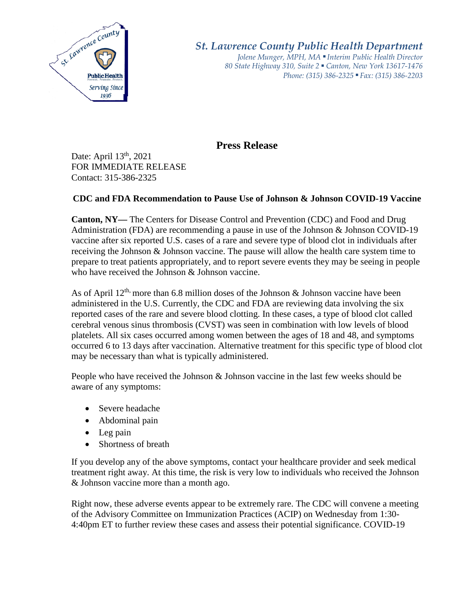

*St. Lawrence County Public Health Department Jolene Munger, MPH, MA ■ Interim Public Health Director 80 State Highway 310, Suite 2 ■ Canton, New York 13617-1476 Phone: (315) 386-2325* ■ *Fax: (315) 386-2203*

## **Press Release**

Date: April 13<sup>th</sup>, 2021 FOR IMMEDIATE RELEASE Contact: 315-386-2325

## **CDC and FDA Recommendation to Pause Use of Johnson & Johnson COVID-19 Vaccine**

**Canton, NY—** The Centers for Disease Control and Prevention (CDC) and Food and Drug Administration (FDA) are recommending a pause in use of the Johnson & Johnson COVID-19 vaccine after six reported U.S. cases of a rare and severe type of blood clot in individuals after receiving the Johnson & Johnson vaccine. The pause will allow the health care system time to prepare to treat patients appropriately, and to report severe events they may be seeing in people who have received the Johnson & Johnson vaccine.

As of April  $12^{th}$  more than 6.8 million doses of the Johnson & Johnson vaccine have been administered in the U.S. Currently, the CDC and FDA are reviewing data involving the six reported cases of the rare and severe blood clotting. In these cases, a type of blood clot called cerebral venous sinus thrombosis (CVST) was seen in combination with low levels of blood platelets. All six cases occurred among women between the ages of 18 and 48, and symptoms occurred 6 to 13 days after vaccination. Alternative treatment for this specific type of blood clot may be necessary than what is typically administered.

People who have received the Johnson & Johnson vaccine in the last few weeks should be aware of any symptoms:

- Severe headache
- Abdominal pain
- Leg pain
- Shortness of breath

If you develop any of the above symptoms, contact your healthcare provider and seek medical treatment right away. At this time, the risk is very low to individuals who received the Johnson & Johnson vaccine more than a month ago.

Right now, these adverse events appear to be extremely rare. The CDC will convene a meeting of the Advisory Committee on Immunization Practices (ACIP) on Wednesday from 1:30- 4:40pm ET to further review these cases and assess their potential significance. COVID-19